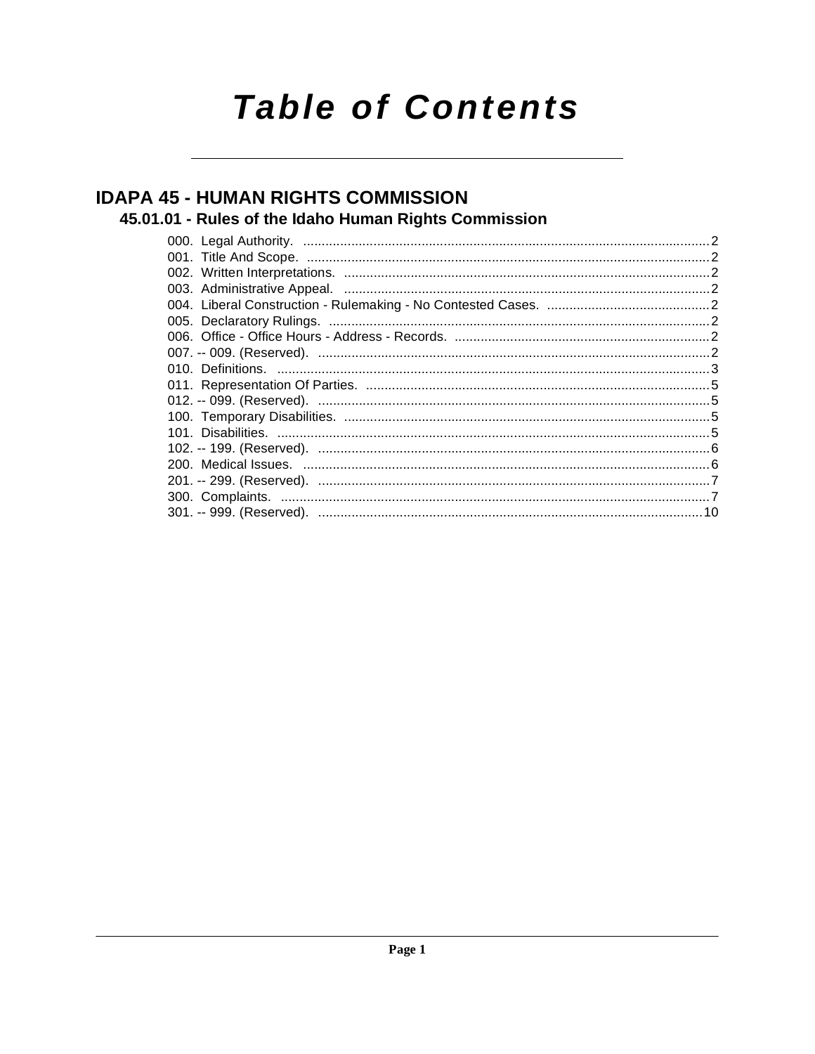# **Table of Contents**

## **IDAPA 45 - HUMAN RIGHTS COMMISSION**

### 45.01.01 - Rules of the Idaho Human Rights Commission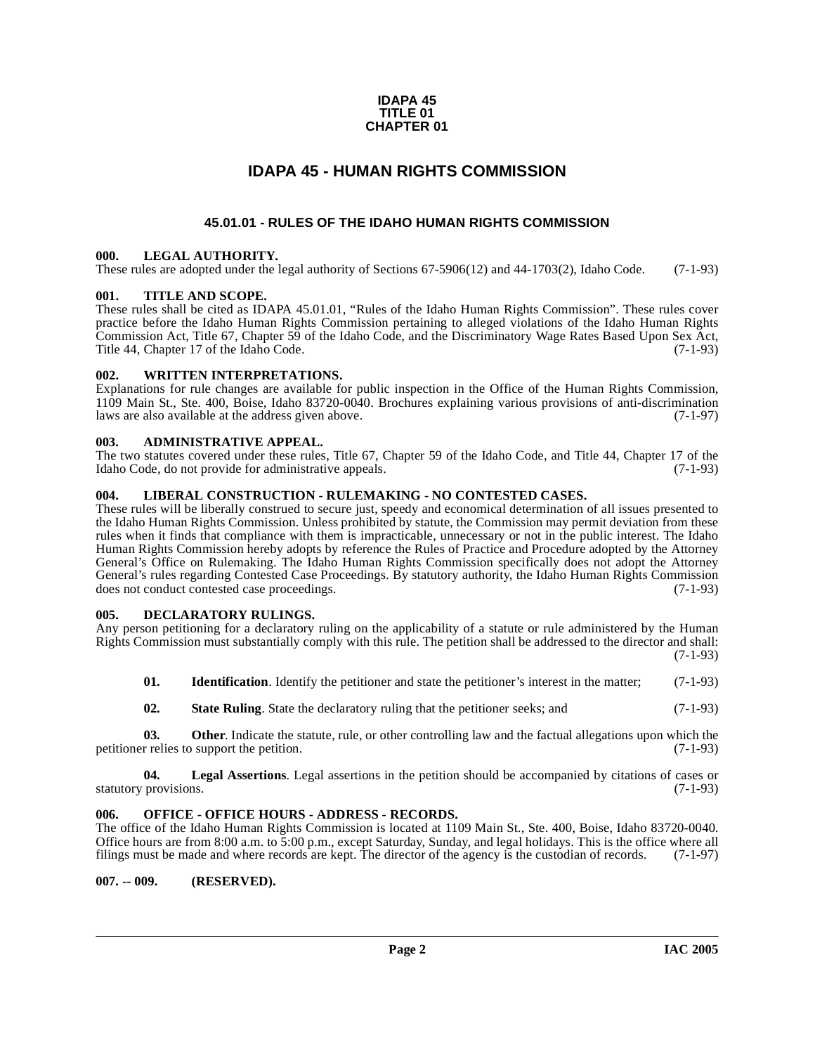#### **IDAPA 45 TITLE 01 CHAPTER 01**

### **IDAPA 45 - HUMAN RIGHTS COMMISSION**

#### **45.01.01 - RULES OF THE IDAHO HUMAN RIGHTS COMMISSION**

#### <span id="page-1-2"></span><span id="page-1-1"></span><span id="page-1-0"></span>**000. LEGAL AUTHORITY.**

These rules are adopted under the legal authority of Sections 67-5906(12) and 44-1703(2), Idaho Code. (7-1-93)

#### <span id="page-1-3"></span>**001. TITLE AND SCOPE.**

These rules shall be cited as IDAPA 45.01.01, "Rules of the Idaho Human Rights Commission". These rules cover practice before the Idaho Human Rights Commission pertaining to alleged violations of the Idaho Human Rights Commission Act, Title 67, Chapter 59 of the Idaho Code, and the Discriminatory Wage Rates Based Upon Sex Act, Title 44, Chapter 17 of the Idaho Code.

#### <span id="page-1-4"></span>**002. WRITTEN INTERPRETATIONS.**

Explanations for rule changes are available for public inspection in the Office of the Human Rights Commission, 1109 Main St., Ste. 400, Boise, Idaho 83720-0040. Brochures explaining various provisions of anti-discrimination laws are also available at the address given above.

#### <span id="page-1-5"></span>**003. ADMINISTRATIVE APPEAL.**

The two statutes covered under these rules, Title 67, Chapter 59 of the Idaho Code, and Title 44, Chapter 17 of the Idaho Code, do not provide for administrative appeals. (7-1-93)

#### <span id="page-1-6"></span>**004. LIBERAL CONSTRUCTION - RULEMAKING - NO CONTESTED CASES.**

These rules will be liberally construed to secure just, speedy and economical determination of all issues presented to the Idaho Human Rights Commission. Unless prohibited by statute, the Commission may permit deviation from these rules when it finds that compliance with them is impracticable, unnecessary or not in the public interest. The Idaho Human Rights Commission hereby adopts by reference the Rules of Practice and Procedure adopted by the Attorney General's Office on Rulemaking. The Idaho Human Rights Commission specifically does not adopt the Attorney General's rules regarding Contested Case Proceedings. By statutory authority, the Idaho Human Rights Commission does not conduct contested case proceedings. (7-1-93)

### <span id="page-1-10"></span><span id="page-1-7"></span>**005. DECLARATORY RULINGS.**

Any person petitioning for a declaratory ruling on the applicability of a statute or rule administered by the Human Rights Commission must substantially comply with this rule. The petition shall be addressed to the director and shall: (7-1-93)

- **01.** Identification. Identify the petitioner and state the petitioner's interest in the matter; (7-1-93)
- **02. State Ruling**. State the declaratory ruling that the petitioner seeks; and (7-1-93)

**03. Other**. Indicate the statute, rule, or other controlling law and the factual allegations upon which the petitioner relies to support the petition. (7-1-93)

**04.** Legal Assertions. Legal assertions in the petition should be accompanied by citations of cases or provisions. (7-1-93) statutory provisions.

#### <span id="page-1-8"></span>**006. OFFICE - OFFICE HOURS - ADDRESS - RECORDS.**

The office of the Idaho Human Rights Commission is located at 1109 Main St., Ste. 400, Boise, Idaho 83720-0040. Office hours are from 8:00 a.m. to 5:00 p.m., except Saturday, Sunday, and legal holidays. This is the office where all filings must be made and where records are kept. The director of the agency is the custodian of records. (7-1-97)

#### <span id="page-1-9"></span>**007. -- 009. (RESERVED).**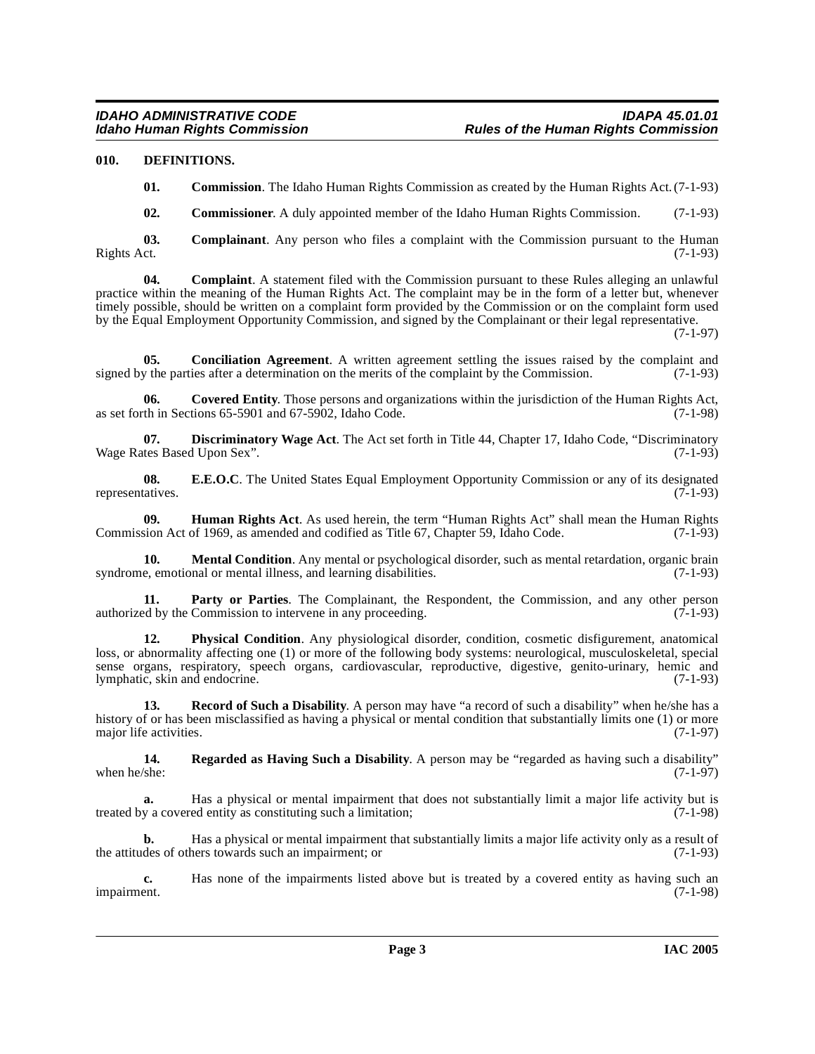#### <span id="page-2-0"></span>**010. DEFINITIONS.**

<span id="page-2-4"></span>**01. Commission**. The Idaho Human Rights Commission as created by the Human Rights Act. (7-1-93)

<span id="page-2-1"></span>**02. Commissioner**. A duly appointed member of the Idaho Human Rights Commission. (7-1-93)

**03. Complainant**. Any person who files a complaint with the Commission pursuant to the Human Rights Act. (7-1-93) Rights Act. (7-1-93)

**04. Complaint**. A statement filed with the Commission pursuant to these Rules alleging an unlawful practice within the meaning of the Human Rights Act. The complaint may be in the form of a letter but, whenever timely possible, should be written on a complaint form provided by the Commission or on the complaint form used by the Equal Employment Opportunity Commission, and signed by the Complainant or their legal representative.

(7-1-97)

<span id="page-2-2"></span>**05. Conciliation Agreement**. A written agreement settling the issues raised by the complaint and  $y$  the parties after a determination on the merits of the complaint by the Commission. (7-1-93) signed by the parties after a determination on the merits of the complaint by the Commission.

<span id="page-2-3"></span>**06.** Covered Entity. Those persons and organizations within the jurisdiction of the Human Rights Act, th in Sections 65-5901 and 67-5902. Idaho Code. (7-1-98) as set forth in Sections  $65-5901$  and  $67-5902$ , Idaho Code.

<span id="page-2-5"></span>**07. Discriminatory Wage Act**. The Act set forth in Title 44, Chapter 17, Idaho Code, "Discriminatory thes Based Upon Sex". (7-1-93) Wage Rates Based Upon Sex".

<span id="page-2-6"></span>**08. E.E.O.C**. The United States Equal Employment Opportunity Commission or any of its designated tatives. (7-1-93) representatives.

<span id="page-2-7"></span>**09. Human Rights Act**. As used herein, the term "Human Rights Act" shall mean the Human Rights sion Act of 1969, as amended and codified as Title 67, Chapter 59, Idaho Code. (7-1-93) Commission Act of 1969, as amended and codified as Title 67, Chapter 59, Idaho Code.

<span id="page-2-8"></span>**10.** Mental Condition. Any mental or psychological disorder, such as mental retardation, organic brain syndrome, emotional or mental illness, and learning disabilities. (7-1-93)

**11. Party or Parties**. The Complainant, the Respondent, the Commission, and any other person ed by the Commission to intervene in any proceeding. (7-1-93) authorized by the Commission to intervene in any proceeding.

<span id="page-2-9"></span>**12. Physical Condition**. Any physiological disorder, condition, cosmetic disfigurement, anatomical loss, or abnormality affecting one (1) or more of the following body systems: neurological, musculoskeletal, special sense organs, respiratory, speech organs, cardiovascular, reproductive, digestive, genito-urinary, hemic and lymphatic, skin and endocrine. (7-1-93) lymphatic, skin and endocrine.

<span id="page-2-10"></span>**13. Record of Such a Disability**. A person may have "a record of such a disability" when he/she has a history of or has been misclassified as having a physical or mental condition that substantially limits one (1) or more major life activities. (7-1-97) major life activities.

<span id="page-2-11"></span>**14. Regarded as Having Such a Disability**. A person may be "regarded as having such a disability" when he/she:  $(7-1-97)$ 

**a.** Has a physical or mental impairment that does not substantially limit a major life activity but is y a covered entity as constituting such a limitation; (7-1-98) treated by a covered entity as constituting such a limitation;

**b.** Has a physical or mental impairment that substantially limits a major life activity only as a result of the attitudes of others towards such an impairment; or (7-1-93)

**c.** Has none of the impairments listed above but is treated by a covered entity as having such an impairment. (7-1-98) impairment. (7-1-98)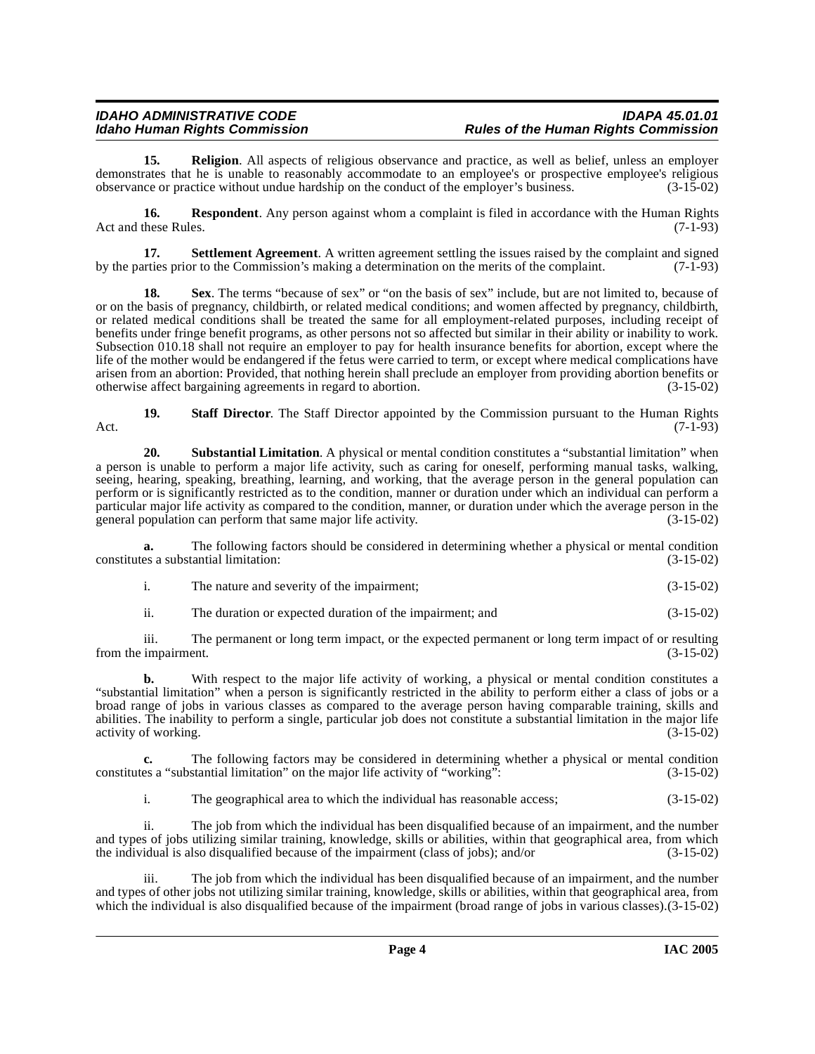### IDAHO ADMINISTRATIVE CODE<br>Idaho Human Rights Commission **Internative Conducts of the Human Rights Commission Rules of the Human Rights Commission**

**15. Religion**. All aspects of religious observance and practice, as well as belief, unless an employer demonstrates that he is unable to reasonably accommodate to an employee's or prospective employee's religious observance or practice without undue hardship on the conduct of the employer's business. (3-15-02) observance or practice without undue hardship on the conduct of the employer's business.

**16. Respondent**. Any person against whom a complaint is filed in accordance with the Human Rights Act and these Rules. (7-1-93)

**17. Settlement Agreement**. A written agreement settling the issues raised by the complaint and signed tries prior to the Commission's making a determination on the merits of the complaint. (7-1-93) by the parties prior to the Commission's making a determination on the merits of the complaint.

**18.** Sex. The terms "because of sex" or "on the basis of sex" include, but are not limited to, because of or on the basis of pregnancy, childbirth, or related medical conditions; and women affected by pregnancy, childbirth, or related medical conditions shall be treated the same for all employment-related purposes, including receipt of benefits under fringe benefit programs, as other persons not so affected but similar in their ability or inability to work. Subsection 010.18 shall not require an employer to pay for health insurance benefits for abortion, except where the life of the mother would be endangered if the fetus were carried to term, or except where medical complications have arisen from an abortion: Provided, that nothing herein shall preclude an employer from providing abortion benefits or otherwise affect bargaining agreements in regard to abortion. (3-15-02) otherwise affect bargaining agreements in regard to abortion.

**19. Staff Director**. The Staff Director appointed by the Commission pursuant to the Human Rights (7-1-93) Act. (7-1-93)

<span id="page-3-0"></span>**20. Substantial Limitation**. A physical or mental condition constitutes a "substantial limitation" when a person is unable to perform a major life activity, such as caring for oneself, performing manual tasks, walking, seeing, hearing, speaking, breathing, learning, and working, that the average person in the general population can perform or is significantly restricted as to the condition, manner or duration under which an individual can perform a particular major life activity as compared to the condition, manner, or duration under which the average person in the general population can perform that same major life activity. (3-15-02) general population can perform that same major life activity.

**a.** The following factors should be considered in determining whether a physical or mental condition constitutes a substantial limitation: (3-15-02)

i. The nature and severity of the impairment; (3-15-02)

ii. The duration or expected duration of the impairment; and (3-15-02)

iii. The permanent or long term impact, or the expected permanent or long term impact of or resulting from the impairment. (3-15-02)

**b.** With respect to the major life activity of working, a physical or mental condition constitutes a "substantial limitation" when a person is significantly restricted in the ability to perform either a class of jobs or a broad range of jobs in various classes as compared to the average person having comparable training, skills and abilities. The inability to perform a single, particular job does not constitute a substantial limitation in the major life activity of working. (3-15-02) activity of working.

**c.** The following factors may be considered in determining whether a physical or mental condition constitutes a "substantial limitation" on the major life activity of "working": (3-15-02)

i. The geographical area to which the individual has reasonable access; (3-15-02)

ii. The job from which the individual has been disqualified because of an impairment, and the number and types of jobs utilizing similar training, knowledge, skills or abilities, within that geographical area, from which the individual is also disqualified because of the impairment (class of jobs); and/or (3-15-02)

iii. The job from which the individual has been disqualified because of an impairment, and the number and types of other jobs not utilizing similar training, knowledge, skills or abilities, within that geographical area, from which the individual is also disqualified because of the impairment (broad range of jobs in various classes).(3-15-02)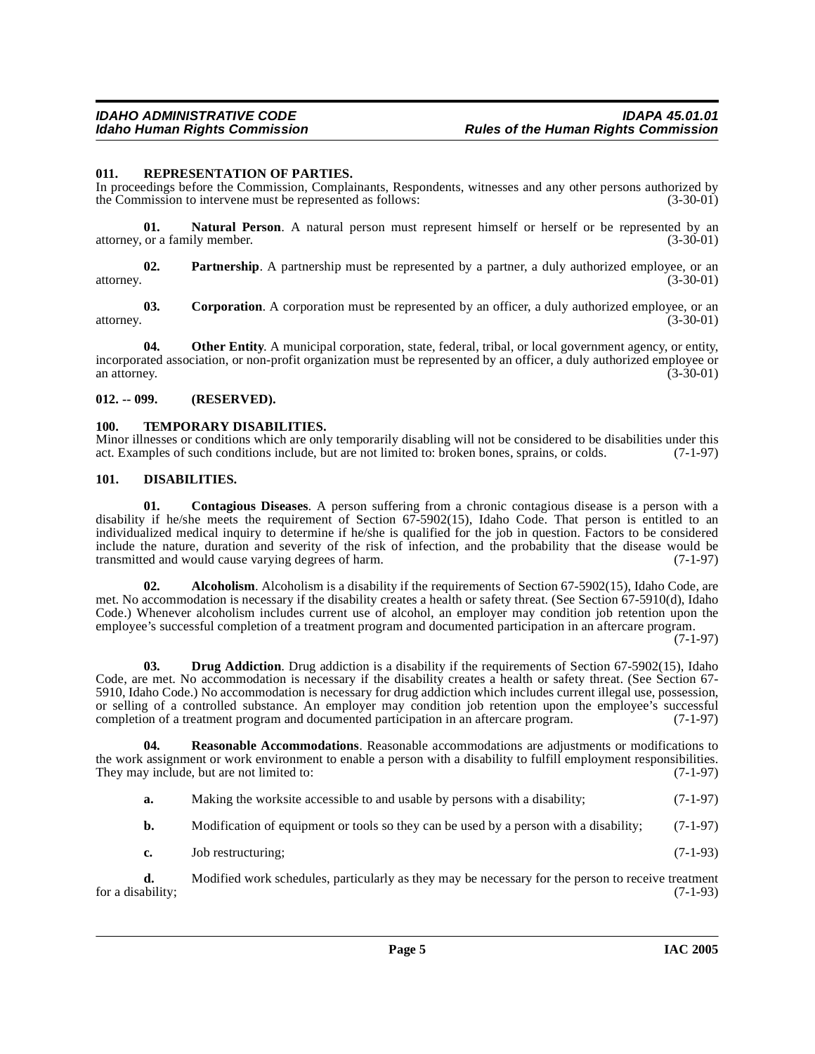#### <span id="page-4-9"></span><span id="page-4-0"></span>**011. REPRESENTATION OF PARTIES.**

In proceedings before the Commission, Complainants, Respondents, witnesses and any other persons authorized by the Commission to intervene must be represented as follows: (3-30-01)

**01. Natural Person**. A natural person must represent himself or herself or be represented by an or a family member. (3-30-01) attorney, or a family member.

**02. Partnership**. A partnership must be represented by a partner, a duly authorized employee, or an attorney. (3-30-01)

**03.** Corporation. A corporation must be represented by an officer, a duly authorized employee, or an  $(3-30-01)$ attorney. (3-30-01)

**04.** Other Entity. A municipal corporation, state, federal, tribal, or local government agency, or entity, incorporated association, or non-profit organization must be represented by an officer, a duly authorized employee or<br>(3-30-01) an attorney. (3-30-01)

#### <span id="page-4-1"></span>**012. -- 099. (RESERVED).**

#### <span id="page-4-10"></span><span id="page-4-2"></span>**100. TEMPORARY DISABILITIES.**

Minor illnesses or conditions which are only temporarily disabling will not be considered to be disabilities under this act. Examples of such conditions include, but are not limited to: broken bones, sprains, or colds. (7act. Examples of such conditions include, but are not limited to: broken bones, sprains, or colds.

#### <span id="page-4-6"></span><span id="page-4-3"></span>**101. DISABILITIES.**

<span id="page-4-5"></span>**01. Contagious Diseases**. A person suffering from a chronic contagious disease is a person with a disability if he/she meets the requirement of Section 67-5902(15), Idaho Code. That person is entitled to an individualized medical inquiry to determine if he/she is qualified for the job in question. Factors to be considered include the nature, duration and severity of the risk of infection, and the probability that the disease would be transmitted and would cause varying degrees of harm. transmitted and would cause varying degrees of harm.

<span id="page-4-4"></span>**02.** Alcoholism. Alcoholism is a disability if the requirements of Section 67-5902(15), Idaho Code, are met. No accommodation is necessary if the disability creates a health or safety threat. (See Section 67-5910(d), Idaho Code.) Whenever alcoholism includes current use of alcohol, an employer may condition job retention upon the employee's successful completion of a treatment program and documented participation in an aftercare program.

(7-1-97)

<span id="page-4-7"></span>**03. Drug Addiction**. Drug addiction is a disability if the requirements of Section 67-5902(15), Idaho Code, are met. No accommodation is necessary if the disability creates a health or safety threat. (See Section 67- 5910, Idaho Code.) No accommodation is necessary for drug addiction which includes current illegal use, possession, or selling of a controlled substance. An employer may condition job retention upon the employee's successful completion of a treatment program and documented participation in an aftercare program. (7-1-97)

**04. Reasonable Accommodations**. Reasonable accommodations are adjustments or modifications to the work assignment or work environment to enable a person with a disability to fulfill employment responsibilities. They may include, but are not limited to:  $(7-1-97)$ 

- <span id="page-4-8"></span>**a.** Making the worksite accessible to and usable by persons with a disability; (7-1-97)
- **b.** Modification of equipment or tools so they can be used by a person with a disability; (7-1-97)
- **c.** Job restructuring; (7-1-93)

**d.** Modified work schedules, particularly as they may be necessary for the person to receive treatment ability; (7-1-93) for a disability;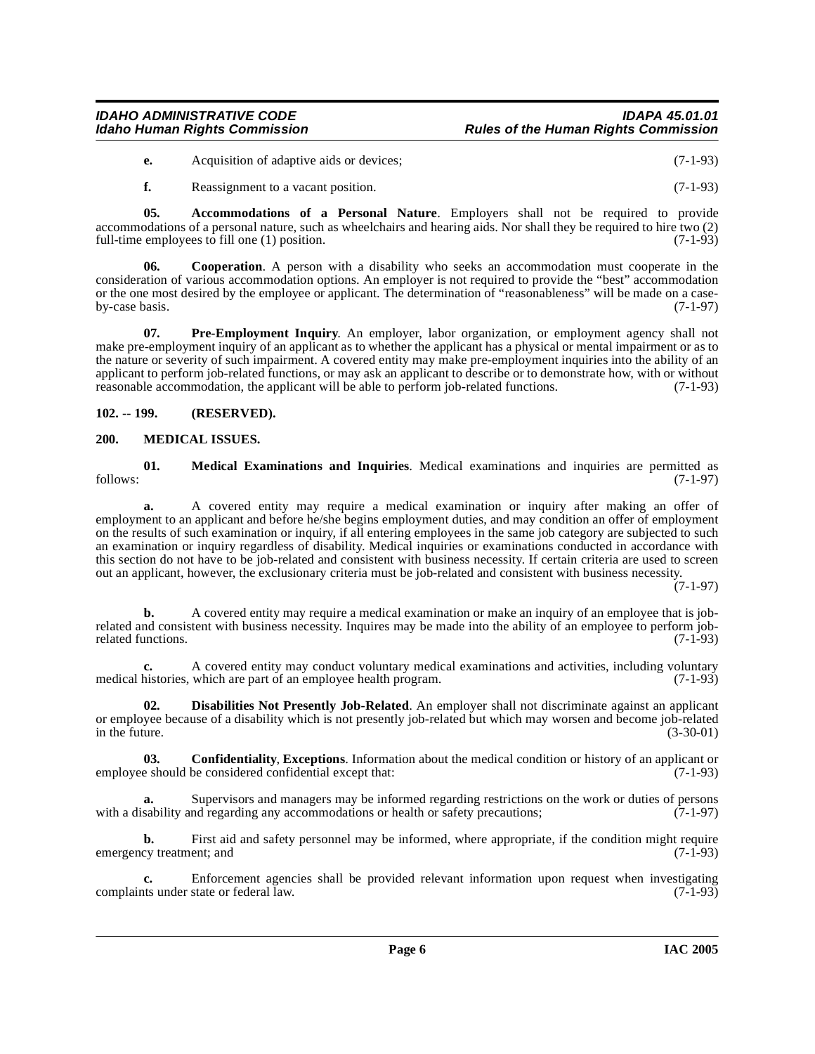### IDAHO ADMINISTRATIVE CODE<br>Idaho Human Rights Commission **Internative Conducts of the Human Rights Commission Rules of the Human Rights Commission**

**e.** Acquisition of adaptive aids or devices; (7-1-93)

<span id="page-5-3"></span>**f.** Reassignment to a vacant position. (7-1-93)

**05. Accommodations of a Personal Nature**. Employers shall not be required to provide accommodations of a personal nature, such as wheelchairs and hearing aids. Nor shall they be required to hire two (2) full-time employees to fill one (1) position. full-time employees to fill one  $(1)$  position.

**06. Cooperation**. A person with a disability who seeks an accommodation must cooperate in the consideration of various accommodation options. An employer is not required to provide the "best" accommodation or the one most desired by the employee or applicant. The determination of "reasonableness" will be made on a case-<br>(7-1-97) by-case basis.

<span id="page-5-6"></span>**07. Pre-Employment Inquiry**. An employer, labor organization, or employment agency shall not make pre-employment inquiry of an applicant as to whether the applicant has a physical or mental impairment or as to the nature or severity of such impairment. A covered entity may make pre-employment inquiries into the ability of an applicant to perform job-related functions, or may ask an applicant to describe or to demonstrate how, with or without reasonable accommodation, the applicant will be able to perform job-related functions. (7-1-93) reasonable accommodation, the applicant will be able to perform job-related functions.

#### <span id="page-5-0"></span>**102. -- 199. (RESERVED).**

#### <span id="page-5-5"></span><span id="page-5-1"></span>**200. MEDICAL ISSUES.**

**01. Medical Examinations and Inquiries**. Medical examinations and inquiries are permitted as follows: (7-1-97)

**a.** A covered entity may require a medical examination or inquiry after making an offer of employment to an applicant and before he/she begins employment duties, and may condition an offer of employment on the results of such examination or inquiry, if all entering employees in the same job category are subjected to such an examination or inquiry regardless of disability. Medical inquiries or examinations conducted in accordance with this section do not have to be job-related and consistent with business necessity. If certain criteria are used to screen out an applicant, however, the exclusionary criteria must be job-related and consistent with business necessity.

(7-1-97)

**b.** A covered entity may require a medical examination or make an inquiry of an employee that is jobrelated and consistent with business necessity. Inquires may be made into the ability of an employee to perform job-<br>related functions. (7-1-93) related functions.

**c.** A covered entity may conduct voluntary medical examinations and activities, including voluntary histories, which are part of an employee health program. (7-1-93) medical histories, which are part of an employee health program.

<span id="page-5-4"></span>**02. Disabilities Not Presently Job-Related**. An employer shall not discriminate against an applicant or employee because of a disability which is not presently job-related but which may worsen and become job-related<br>(3-30-01) in the future.  $(3-30-01)$ 

<span id="page-5-2"></span>**03. Confidentiality**, **Exceptions**. Information about the medical condition or history of an applicant or employee should be considered confidential except that: (7-1-93)

**a.** Supervisors and managers may be informed regarding restrictions on the work or duties of persons sability and regarding any accommodations or health or safety precautions: (7-1-97) with a disability and regarding any accommodations or health or safety precautions;

**b.** First aid and safety personnel may be informed, where appropriate, if the condition might require emergency treatment; and (7-1-93)

**c.** Enforcement agencies shall be provided relevant information upon request when investigating that under state or federal law. (7-1-93) complaints under state or federal law.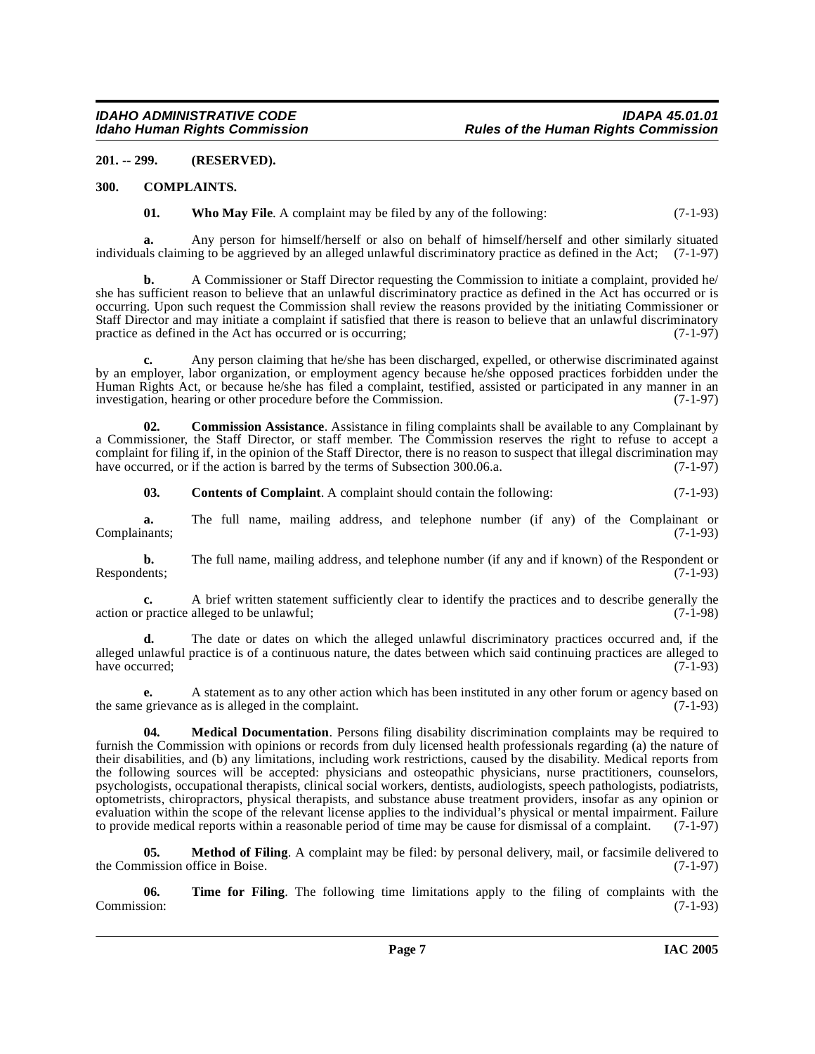#### <span id="page-6-0"></span>**201. -- 299. (RESERVED).**

#### <span id="page-6-1"></span>**300. COMPLAINTS.**

<span id="page-6-8"></span><span id="page-6-3"></span>**01.** Who May File. A complaint may be filed by any of the following: (7-1-93)

**a.** Any person for himself/herself or also on behalf of himself/herself and other similarly situated individuals claiming to be aggrieved by an alleged unlawful discriminatory practice as defined in the Act; (7-1-97)

**b.** A Commissioner or Staff Director requesting the Commission to initiate a complaint, provided he/ she has sufficient reason to believe that an unlawful discriminatory practice as defined in the Act has occurred or is occurring. Upon such request the Commission shall review the reasons provided by the initiating Commissioner or Staff Director and may initiate a complaint if satisfied that there is reason to believe that an unlawful discriminatory practice as defined in the Act has occurred or is occurring; (7-1-97)

**c.** Any person claiming that he/she has been discharged, expelled, or otherwise discriminated against by an employer, labor organization, or employment agency because he/she opposed practices forbidden under the Human Rights Act, or because he/she has filed a complaint, testified, assisted or participated in any manner in an investigation, hearing or other procedure before the Commission. (7-1-97)

**02. Commission Assistance**. Assistance in filing complaints shall be available to any Complainant by a Commissioner, the Staff Director, or staff member. The Commission reserves the right to refuse to accept a complaint for filing if, in the opinion of the Staff Director, there is no reason to suspect that illegal discrimination may<br>have occurred, or if the action is barred by the terms of Subsection 300.06.a. (7-1-97) have occurred, or if the action is barred by the terms of Subsection 300.06.a.

<span id="page-6-4"></span><span id="page-6-2"></span>**03. Contents of Complaint**. A complaint should contain the following: (7-1-93)

**a.** The full name, mailing address, and telephone number (if any) of the Complainant or Complainants; (7-1-93)

**b.** The full name, mailing address, and telephone number (if any and if known) of the Respondent or Respondents; (7-1-93) Respondents; (7-1-93)

**c.** A brief written statement sufficiently clear to identify the practices and to describe generally the practice alleged to be unlawful: (7-1-98) action or practice alleged to be unlawful;

**d.** The date or dates on which the alleged unlawful discriminatory practices occurred and, if the alleged unlawful practice is of a continuous nature, the dates between which said continuing practices are alleged to have occurred; (7-1-93)

**e.** A statement as to any other action which has been instituted in any other forum or agency based on grievance as is alleged in the complaint. (7-1-93) the same grievance as is alleged in the complaint.

<span id="page-6-5"></span>**04. Medical Documentation**. Persons filing disability discrimination complaints may be required to furnish the Commission with opinions or records from duly licensed health professionals regarding (a) the nature of their disabilities, and (b) any limitations, including work restrictions, caused by the disability. Medical reports from the following sources will be accepted: physicians and osteopathic physicians, nurse practitioners, counselors, psychologists, occupational therapists, clinical social workers, dentists, audiologists, speech pathologists, podiatrists, optometrists, chiropractors, physical therapists, and substance abuse treatment providers, insofar as any opinion or evaluation within the scope of the relevant license applies to the individual's physical or mental impairment. Failure to provide medical reports within a reasonable period of time may be cause for dismissal of a complaint to provide medical reports within a reasonable period of time may be cause for dismissal of a complaint.

<span id="page-6-6"></span>**05. Method of Filing**. A complaint may be filed: by personal delivery, mail, or facsimile delivered to mission office in Boise. (7-1-97) the Commission office in Boise.

<span id="page-6-7"></span>**06. Time for Filing**. The following time limitations apply to the filing of complaints with the sion: (7-1-93) Commission: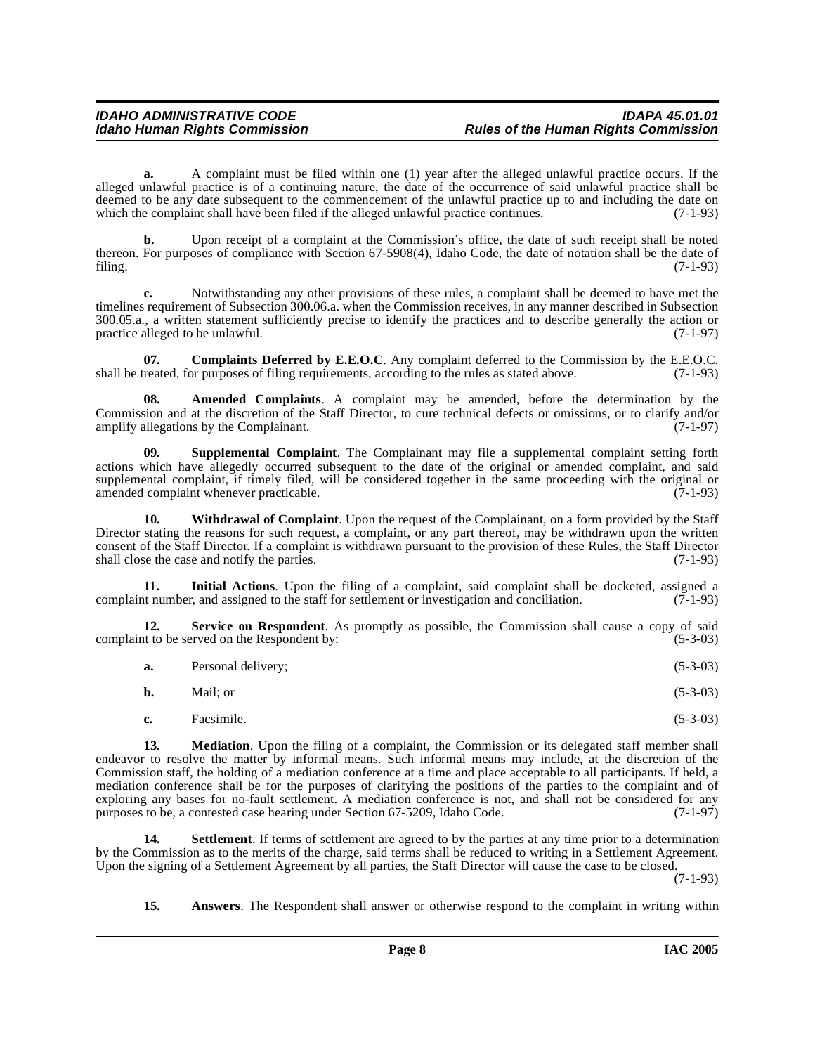**a.** A complaint must be filed within one (1) year after the alleged unlawful practice occurs. If the alleged unlawful practice is of a continuing nature, the date of the occurrence of said unlawful practice shall be deemed to be any date subsequent to the commencement of the unlawful practice up to and including the date on which the complaint shall have been filed if the alleged unlawful practice continues.  $(7-1-93)$ 

**b.** Upon receipt of a complaint at the Commission's office, the date of such receipt shall be noted thereon. For purposes of compliance with Section 67-5908(4), Idaho Code, the date of notation shall be the date of filing. (7-1-93) filing. (7-1-93)

**c.** Notwithstanding any other provisions of these rules, a complaint shall be deemed to have met the timelines requirement of Subsection 300.06.a. when the Commission receives, in any manner described in Subsection 300.05.a., a written statement sufficiently precise to identify the practices and to describe generally the action or practice alleged to be unlawful. (7-1-97)

<span id="page-7-2"></span>**07.** Complaints Deferred by E.E.O.C. Any complaint deferred to the Commission by the E.E.O.C. treated, for purposes of filing requirements, according to the rules as stated above. (7-1-93) shall be treated, for purposes of filing requirements, according to the rules as stated above.

<span id="page-7-0"></span>**08. Amended Complaints**. A complaint may be amended, before the determination by the Commission and at the discretion of the Staff Director, to cure technical defects or omissions, or to clarify and/or amplify allegations by the Complainant. (7-1-97) amplify allegations by the Complainant.

<span id="page-7-7"></span>**09. Supplemental Complaint**. The Complainant may file a supplemental complaint setting forth actions which have allegedly occurred subsequent to the date of the original or amended complaint, and said supplemental complaint, if timely filed, will be considered together in the same proceeding with the original or<br>(7-1-93) (7-1-93) amended complaint whenever practicable.

<span id="page-7-8"></span>**10. Withdrawal of Complaint**. Upon the request of the Complainant, on a form provided by the Staff Director stating the reasons for such request, a complaint, or any part thereof, may be withdrawn upon the written consent of the Staff Director. If a complaint is withdrawn pursuant to the provision of these Rules, the Staff Director shall close the case and notify the parties. (7-1-93) shall close the case and notify the parties.

<span id="page-7-3"></span>**11. Initial Actions**. Upon the filing of a complaint, said complaint shall be docketed, assigned a complaint number, and assigned to the staff for settlement or investigation and conciliation. (7-1-93)

**12. Service on Respondent**. As promptly as possible, the Commission shall cause a copy of said at to be served on the Respondent by: (5-3-03) complaint to be served on the Respondent by:

<span id="page-7-5"></span>

| a. | Personal delivery; | $(5-3-03)$ |  |
|----|--------------------|------------|--|
|----|--------------------|------------|--|

| <b>b.</b> | Mail; or |  | $(5-3-03)$ |
|-----------|----------|--|------------|
|-----------|----------|--|------------|

<span id="page-7-4"></span>**c.** Facsimile. (5-3-03)

**13.** Mediation. Upon the filing of a complaint, the Commission or its delegated staff member shall endeavor to resolve the matter by informal means. Such informal means may include, at the discretion of the Commission staff, the holding of a mediation conference at a time and place acceptable to all participants. If held, a mediation conference shall be for the purposes of clarifying the positions of the parties to the complaint and of exploring any bases for no-fault settlement. A mediation conference is not, and shall not be considered for any<br>purposes to be, a contested case hearing under Section 67-5209, Idaho Code. (7-1-97) purposes to be, a contested case hearing under Section 67-5209, Idaho Code.

**14.** Settlement. If terms of settlement are agreed to by the parties at any time prior to a determination by the Commission as to the merits of the charge, said terms shall be reduced to writing in a Settlement Agreement. Upon the signing of a Settlement Agreement by all parties, the Staff Director will cause the case to be closed.

(7-1-93)

<span id="page-7-6"></span><span id="page-7-1"></span>**15. Answers**. The Respondent shall answer or otherwise respond to the complaint in writing within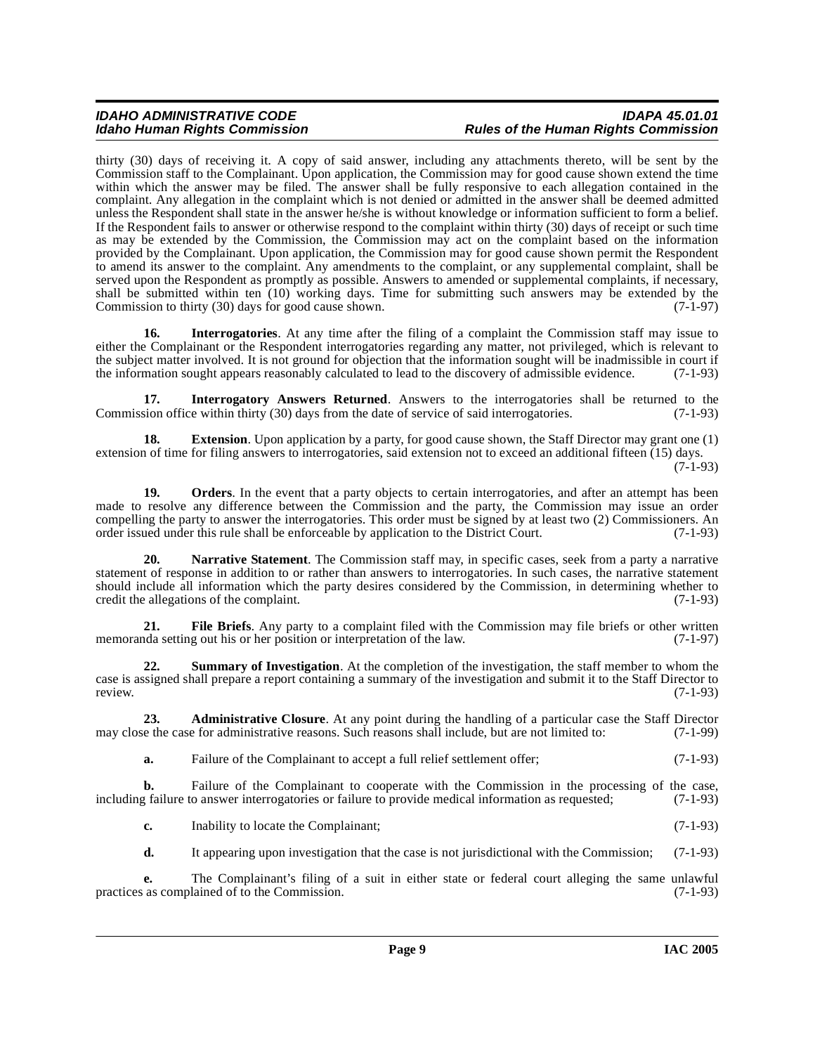#### IDAHO ADMINISTRATIVE CODE<br>Idaho Human Rights Commission **Internative Conducts of the Human Rights Commission Rules of the Human Rights Commission**

thirty (30) days of receiving it. A copy of said answer, including any attachments thereto, will be sent by the Commission staff to the Complainant. Upon application, the Commission may for good cause shown extend the time within which the answer may be filed. The answer shall be fully responsive to each allegation contained in the complaint. Any allegation in the complaint which is not denied or admitted in the answer shall be deemed admitted unless the Respondent shall state in the answer he/she is without knowledge or information sufficient to form a belief. If the Respondent fails to answer or otherwise respond to the complaint within thirty (30) days of receipt or such time as may be extended by the Commission, the Commission may act on the complaint based on the information provided by the Complainant. Upon application, the Commission may for good cause shown permit the Respondent to amend its answer to the complaint. Any amendments to the complaint, or any supplemental complaint, shall be served upon the Respondent as promptly as possible. Answers to amended or supplemental complaints, if necessary, shall be submitted within ten (10) working days. Time for submitting such answers may be extended by the Commission to thirty (30) days for good cause shown.  $(7-1-97)$ Commission to thirty  $(30)$  days for good cause shown.

<span id="page-8-2"></span>**16.** Interrogatories. At any time after the filing of a complaint the Commission staff may issue to either the Complainant or the Respondent interrogatories regarding any matter, not privileged, which is relevant to the subject matter involved. It is not ground for objection that the information sought will be inadmissible in court if<br>the information sought appears reasonably calculated to lead to the discovery of admissible evidence. the information sought appears reasonably calculated to lead to the discovery of admissible evidence.

<span id="page-8-3"></span>**17. Interrogatory Answers Returned**. Answers to the interrogatories shall be returned to the Commission office within thirty (30) days from the date of service of said interrogatories. (7-1-93)

<span id="page-8-1"></span>**18.** Extension. Upon application by a party, for good cause shown, the Staff Director may grant one (1) extension of time for filing answers to interrogatories, said extension not to exceed an additional fifteen (15) days.

(7-1-93)

<span id="page-8-5"></span>**19.** Orders. In the event that a party objects to certain interrogatories, and after an attempt has been made to resolve any difference between the Commission and the party, the Commission may issue an order compelling the party to answer the interrogatories. This order must be signed by at least two (2) Commissioners. An order issued under this rule shall be enforceable by application to the District Court. (7-1-93) order issued under this rule shall be enforceable by application to the District Court.

<span id="page-8-4"></span>**20. Narrative Statement**. The Commission staff may, in specific cases, seek from a party a narrative statement of response in addition to or rather than answers to interrogatories. In such cases, the narrative statement should include all information which the party desires considered by the Commission, in determining whether to credit the allegations of the complaint. (7-1-93)

**21.** File Briefs. Any party to a complaint filed with the Commission may file briefs or other written red a setting out his or her position or interpretation of the law. memoranda setting out his or her position or interpretation of the law.

<span id="page-8-6"></span>**22. Summary of Investigation**. At the completion of the investigation, the staff member to whom the case is assigned shall prepare a report containing a summary of the investigation and submit it to the Staff Director to review. (7-1-93)

**23. Administrative Closure**. At any point during the handling of a particular case the Staff Director et the case for administrative reasons. Such reasons shall include, but are not limited to: (7-1-99) may close the case for administrative reasons. Such reasons shall include, but are not limited to:

<span id="page-8-0"></span>**a.** Failure of the Complainant to accept a full relief settlement offer; (7-1-93)

**b.** Failure of the Complainant to cooperate with the Commission in the processing of the case, railure to answer interrogatories or failure to provide medical information as requested; (7-1-93) including failure to answer interrogatories or failure to provide medical information as requested;

**c.** Inability to locate the Complainant; (7-1-93)

**d.** It appearing upon investigation that the case is not jurisdictional with the Commission; (7-1-93)

**e.** The Complainant's filing of a suit in either state or federal court alleging the same unlawful as complained of to the Commission. (7-1-93) practices as complained of to the Commission.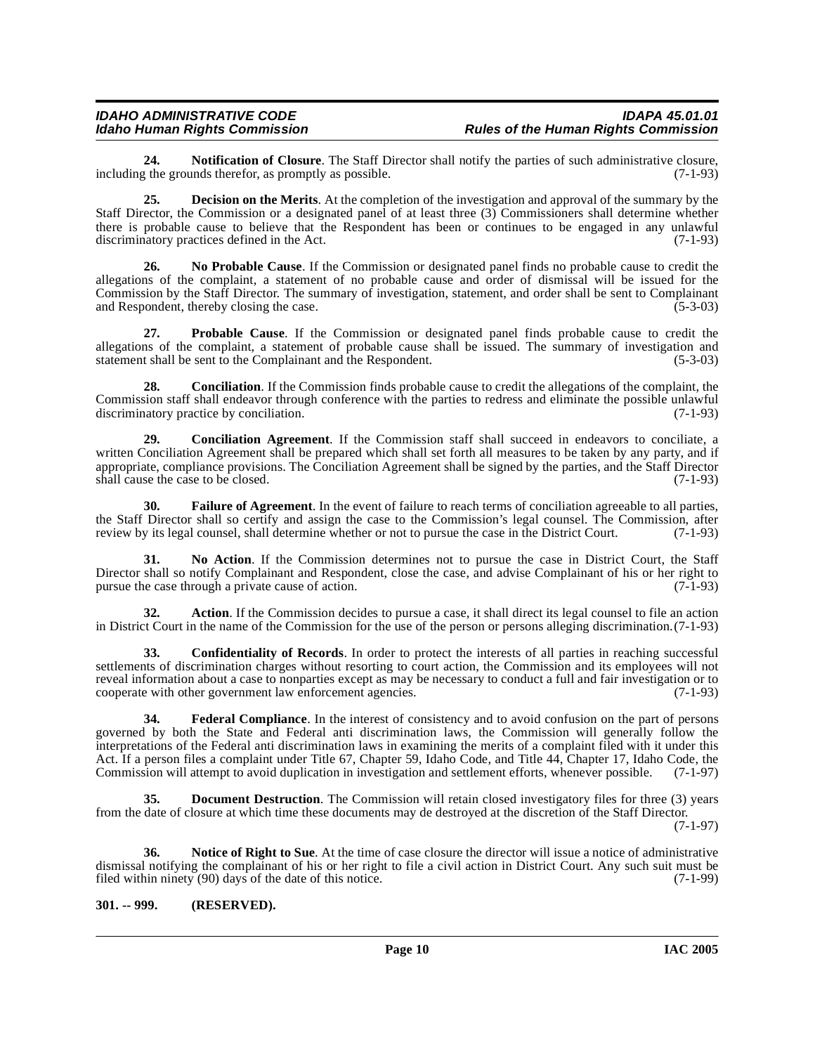**24. Notification of Closure**. The Staff Director shall notify the parties of such administrative closure, *the grounds therefor, as promptly as possible.* (7-1-93) including the grounds therefor, as promptly as possible.

<span id="page-9-2"></span>**25. Decision on the Merits**. At the completion of the investigation and approval of the summary by the Staff Director, the Commission or a designated panel of at least three (3) Commissioners shall determine whether there is probable cause to believe that the Respondent has been or continues to be engaged in any unlawful discriminatory practices defined in the Act. (7-1-93) discriminatory practices defined in the Act.

**26. No Probable Cause**. If the Commission or designated panel finds no probable cause to credit the allegations of the complaint, a statement of no probable cause and order of dismissal will be issued for the Commission by the Staff Director. The summary of investigation, statement, and order shall be sent to Complainant and Respondent, thereby closing the case. (5-3-03) and Respondent, thereby closing the case.

**27. Probable Cause**. If the Commission or designated panel finds probable cause to credit the allegations of the complaint, a statement of probable cause shall be issued. The summary of investigation and statement shall be sent to the Complainant and the Respondent. (5-3-03) statement shall be sent to the Complainant and the Respondent.

**28. Conciliation**. If the Commission finds probable cause to credit the allegations of the complaint, the Commission staff shall endeavor through conference with the parties to redress and eliminate the possible unlawful discriminatory practice by conciliation. (7-1-93)

**29. Conciliation Agreement**. If the Commission staff shall succeed in endeavors to conciliate, a written Conciliation Agreement shall be prepared which shall set forth all measures to be taken by any party, and if appropriate, compliance provisions. The Conciliation Agreement shall be signed by the parties, and the Staff Director shall cause the case to be closed. (7-1-93)

<span id="page-9-4"></span>**30. Failure of Agreement**. In the event of failure to reach terms of conciliation agreeable to all parties, the Staff Director shall so certify and assign the case to the Commission's legal counsel. The Commission, after review by its legal counsel, shall determine whether or not to pursue the case in the District Court. (7-1-93)

**31. No Action**. If the Commission determines not to pursue the case in District Court, the Staff Director shall so notify Complainant and Respondent, close the case, and advise Complainant of his or her right to pursue the case through a private cause of action. (7-1-93) pursue the case through a private cause of action.

**32. Action**. If the Commission decides to pursue a case, it shall direct its legal counsel to file an action in District Court in the name of the Commission for the use of the person or persons alleging discrimination.(7-1-93)

<span id="page-9-1"></span>**33. Confidentiality of Records**. In order to protect the interests of all parties in reaching successful settlements of discrimination charges without resorting to court action, the Commission and its employees will not reveal information about a case to nonparties except as may be necessary to conduct a full and fair investigation or to cooperate with other government law enforcement agencies. (7-1-93)

<span id="page-9-5"></span>**34. Federal Compliance**. In the interest of consistency and to avoid confusion on the part of persons governed by both the State and Federal anti discrimination laws, the Commission will generally follow the interpretations of the Federal anti discrimination laws in examining the merits of a complaint filed with it under this Act. If a person files a complaint under Title 67, Chapter 59, Idaho Code, and Title 44, Chapter 17, Idaho Code, the Commission will attempt to avoid duplication in investigation and settlement efforts, whenever possible. (7-1-97)

<span id="page-9-3"></span>**35. Document Destruction**. The Commission will retain closed investigatory files for three (3) years from the date of closure at which time these documents may de destroyed at the discretion of the Staff Director.

(7-1-97)

<span id="page-9-6"></span>**36. Notice of Right to Sue**. At the time of case closure the director will issue a notice of administrative dismissal notifying the complainant of his or her right to file a civil action in District Court. Any such suit must be filed within ninety (90) days of the date of this notice. filed within ninety  $(90)$  days of the date of this notice.

#### <span id="page-9-0"></span>**301. -- 999. (RESERVED).**